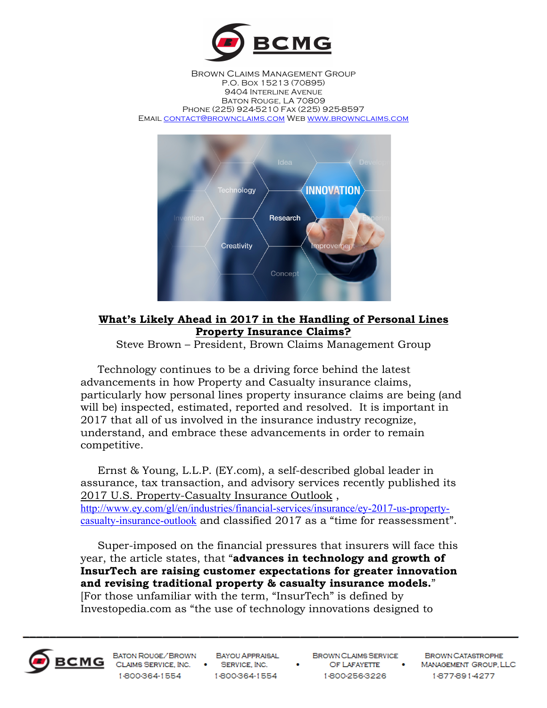

Brown Claims Management Group P.O. Box 15213 (70895) 9404 Interline Avenue Baton Rouge, LA 70809 Phone (225) 924-5210 Fax (225) 925-8597 Email contact@brownclaims.com Web www.brownclaims.com



## **What's Likely Ahead in 2017 in the Handling of Personal Lines Property Insurance Claims?**

Steve Brown – President, Brown Claims Management Group

 Technology continues to be a driving force behind the latest advancements in how Property and Casualty insurance claims, particularly how personal lines property insurance claims are being (and will be) inspected, estimated, reported and resolved. It is important in 2017 that all of us involved in the insurance industry recognize, understand, and embrace these advancements in order to remain competitive.

 Ernst & Young, L.L.P. (EY.com), a self-described global leader in assurance, tax transaction, and advisory services recently published its 2017 U.S. Property-Casualty Insurance Outlook , http://www.ey.com/gl/en/industries/financial-services/insurance/ey-2017-us-propertycasualty-insurance-outlook and classified 2017 as a "time for reassessment".

 Super-imposed on the financial pressures that insurers will face this year, the article states, that "**advances in technology and growth of InsurTech are raising customer expectations for greater innovation and revising traditional property & casualty insurance models.**" [For those unfamiliar with the term, "InsurTech" is defined by Investopedia.com as "the use of technology innovations designed to



BATON ROUGE/BROWN CLAIMS SERVICE, INC. . SERVICE, INC. 1-800-364-1554

**BAYOU APPRAISAL** 1-800-364-1554

BROWN CLAIMS SERVICE OF LAFAYETTE . 1-800-256-3226

**BROWN CATASTROPHE** MANAGEMENT GROUP, LLC 1-877-891-4277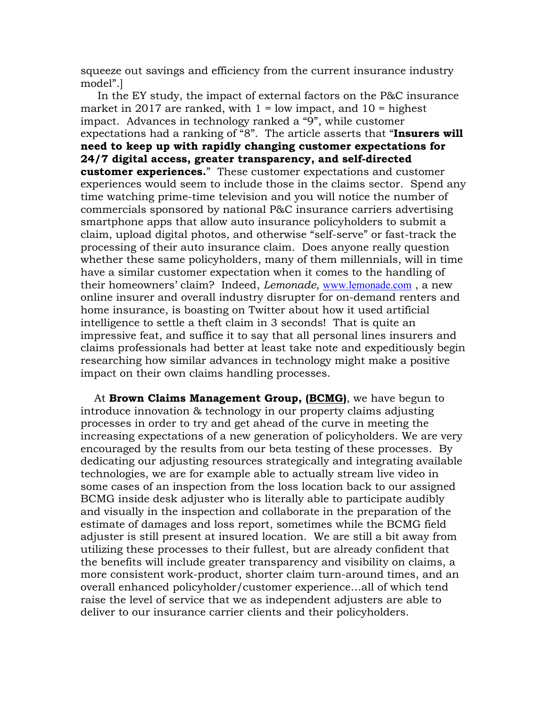squeeze out savings and efficiency from the current insurance industry model".]

 In the EY study, the impact of external factors on the P&C insurance market in 2017 are ranked, with  $1 =$  low impact, and  $10 =$  highest impact. Advances in technology ranked a "9", while customer expectations had a ranking of "8". The article asserts that "**Insurers will need to keep up with rapidly changing customer expectations for 24/7 digital access, greater transparency, and self-directed customer experiences.**" These customer expectations and customer experiences would seem to include those in the claims sector. Spend any time watching prime-time television and you will notice the number of commercials sponsored by national P&C insurance carriers advertising smartphone apps that allow auto insurance policyholders to submit a claim, upload digital photos, and otherwise "self-serve" or fast-track the processing of their auto insurance claim. Does anyone really question whether these same policyholders, many of them millennials, will in time have a similar customer expectation when it comes to the handling of their homeowners' claim? Indeed, *Lemonade,* www.lemonade.com , a new online insurer and overall industry disrupter for on-demand renters and home insurance, is boasting on Twitter about how it used artificial intelligence to settle a theft claim in 3 seconds! That is quite an impressive feat, and suffice it to say that all personal lines insurers and claims professionals had better at least take note and expeditiously begin researching how similar advances in technology might make a positive impact on their own claims handling processes.

 At **Brown Claims Management Group, (BCMG)**, we have begun to introduce innovation & technology in our property claims adjusting processes in order to try and get ahead of the curve in meeting the increasing expectations of a new generation of policyholders. We are very encouraged by the results from our beta testing of these processes. By dedicating our adjusting resources strategically and integrating available technologies, we are for example able to actually stream live video in some cases of an inspection from the loss location back to our assigned BCMG inside desk adjuster who is literally able to participate audibly and visually in the inspection and collaborate in the preparation of the estimate of damages and loss report, sometimes while the BCMG field adjuster is still present at insured location. We are still a bit away from utilizing these processes to their fullest, but are already confident that the benefits will include greater transparency and visibility on claims, a more consistent work-product, shorter claim turn-around times, and an overall enhanced policyholder/customer experience…all of which tend raise the level of service that we as independent adjusters are able to deliver to our insurance carrier clients and their policyholders.